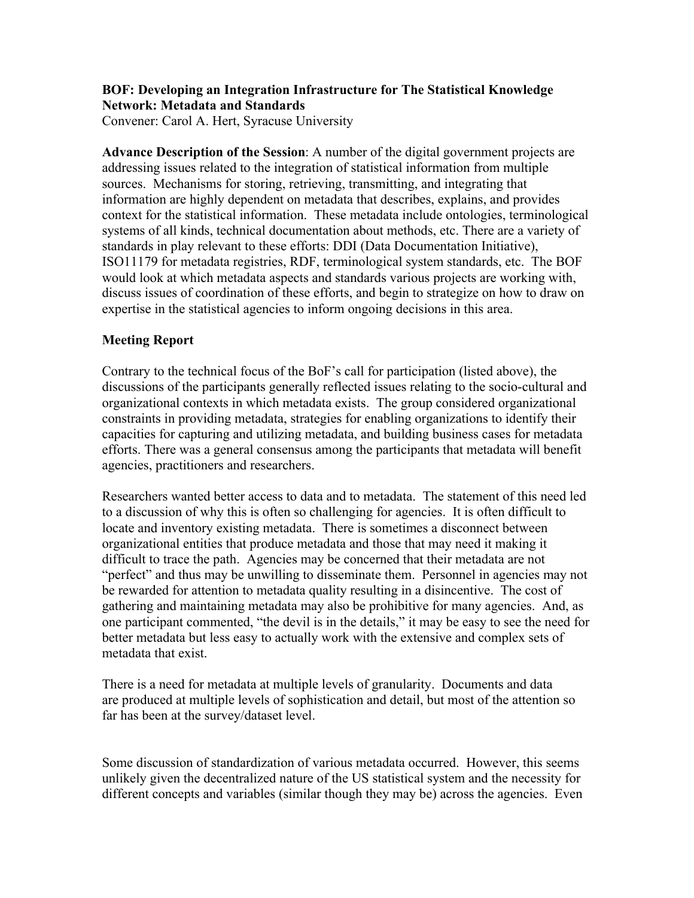## **BOF: Developing an Integration Infrastructure for The Statistical Knowledge Network: Metadata and Standards**

Convener: Carol A. Hert, Syracuse University

**Advance Description of the Session**: A number of the digital government projects are addressing issues related to the integration of statistical information from multiple sources. Mechanisms for storing, retrieving, transmitting, and integrating that information are highly dependent on metadata that describes, explains, and provides context for the statistical information. These metadata include ontologies, terminological systems of all kinds, technical documentation about methods, etc. There are a variety of standards in play relevant to these efforts: DDI (Data Documentation Initiative), ISO11179 for metadata registries, RDF, terminological system standards, etc. The BOF would look at which metadata aspects and standards various projects are working with, discuss issues of coordination of these efforts, and begin to strategize on how to draw on expertise in the statistical agencies to inform ongoing decisions in this area.

## **Meeting Report**

Contrary to the technical focus of the BoF's call for participation (listed above), the discussions of the participants generally reflected issues relating to the socio-cultural and organizational contexts in which metadata exists. The group considered organizational constraints in providing metadata, strategies for enabling organizations to identify their capacities for capturing and utilizing metadata, and building business cases for metadata efforts. There was a general consensus among the participants that metadata will benefit agencies, practitioners and researchers.

Researchers wanted better access to data and to metadata. The statement of this need led to a discussion of why this is often so challenging for agencies. It is often difficult to locate and inventory existing metadata. There is sometimes a disconnect between organizational entities that produce metadata and those that may need it making it difficult to trace the path. Agencies may be concerned that their metadata are not "perfect" and thus may be unwilling to disseminate them. Personnel in agencies may not be rewarded for attention to metadata quality resulting in a disincentive. The cost of gathering and maintaining metadata may also be prohibitive for many agencies. And, as one participant commented, "the devil is in the details," it may be easy to see the need for better metadata but less easy to actually work with the extensive and complex sets of metadata that exist.

There is a need for metadata at multiple levels of granularity. Documents and data are produced at multiple levels of sophistication and detail, but most of the attention so far has been at the survey/dataset level.

Some discussion of standardization of various metadata occurred. However, this seems unlikely given the decentralized nature of the US statistical system and the necessity for different concepts and variables (similar though they may be) across the agencies. Even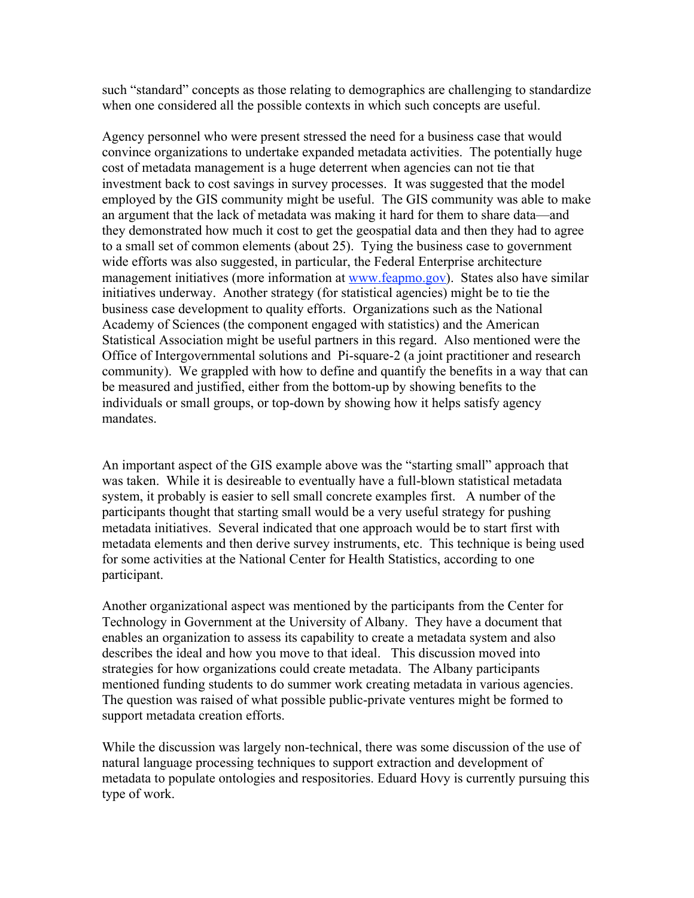such "standard" concepts as those relating to demographics are challenging to standardize when one considered all the possible contexts in which such concepts are useful.

Agency personnel who were present stressed the need for a business case that would convince organizations to undertake expanded metadata activities. The potentially huge cost of metadata management is a huge deterrent when agencies can not tie that investment back to cost savings in survey processes. It was suggested that the model employed by the GIS community might be useful. The GIS community was able to make an argument that the lack of metadata was making it hard for them to share data—and they demonstrated how much it cost to get the geospatial data and then they had to agree to a small set of common elements (about 25). Tying the business case to government wide efforts was also suggested, in particular, the Federal Enterprise architecture management initiatives (more information at www.feapmo.gov). States also have similar initiatives underway. Another strategy (for statistical agencies) might be to tie the business case development to quality efforts. Organizations such as the National Academy of Sciences (the component engaged with statistics) and the American Statistical Association might be useful partners in this regard. Also mentioned were the Office of Intergovernmental solutions and Pi-square-2 (a joint practitioner and research community). We grappled with how to define and quantify the benefits in a way that can be measured and justified, either from the bottom-up by showing benefits to the individuals or small groups, or top-down by showing how it helps satisfy agency mandates.

An important aspect of the GIS example above was the "starting small" approach that was taken. While it is desireable to eventually have a full-blown statistical metadata system, it probably is easier to sell small concrete examples first. A number of the participants thought that starting small would be a very useful strategy for pushing metadata initiatives. Several indicated that one approach would be to start first with metadata elements and then derive survey instruments, etc. This technique is being used for some activities at the National Center for Health Statistics, according to one participant.

Another organizational aspect was mentioned by the participants from the Center for Technology in Government at the University of Albany. They have a document that enables an organization to assess its capability to create a metadata system and also describes the ideal and how you move to that ideal. This discussion moved into strategies for how organizations could create metadata. The Albany participants mentioned funding students to do summer work creating metadata in various agencies. The question was raised of what possible public-private ventures might be formed to support metadata creation efforts.

While the discussion was largely non-technical, there was some discussion of the use of natural language processing techniques to support extraction and development of metadata to populate ontologies and respositories. Eduard Hovy is currently pursuing this type of work.